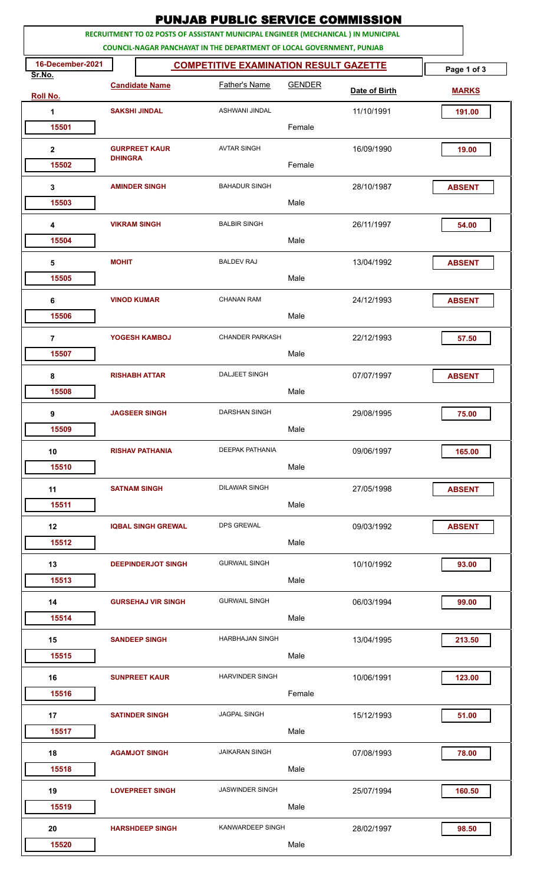|                                                                                                                                                                   |                                        |                           | <b>PUNJAB PUBLIC SERVICE COMMISSION</b>       |               |               |               |
|-------------------------------------------------------------------------------------------------------------------------------------------------------------------|----------------------------------------|---------------------------|-----------------------------------------------|---------------|---------------|---------------|
| RECRUITMENT TO 02 POSTS OF ASSISTANT MUNICIPAL ENGINEER (MECHANICAL) IN MUNICIPAL<br><b>COUNCIL-NAGAR PANCHAYAT IN THE DEPARTMENT OF LOCAL GOVERNMENT, PUNJAB</b> |                                        |                           |                                               |               |               |               |
| 16-December-2021<br>Sr.No.                                                                                                                                        |                                        |                           | <b>COMPETITIVE EXAMINATION RESULT GAZETTE</b> |               |               | Page 1 of 3   |
| <b>Roll No.</b>                                                                                                                                                   | <b>Candidate Name</b>                  |                           | <b>Father's Name</b>                          | <b>GENDER</b> | Date of Birth | <b>MARKS</b>  |
| 1                                                                                                                                                                 |                                        | <b>SAKSHI JINDAL</b>      | ASHWANI JINDAL                                |               | 11/10/1991    | 191.00        |
| 15501                                                                                                                                                             |                                        |                           |                                               | Female        |               |               |
| $\mathbf{2}$                                                                                                                                                      | <b>GURPREET KAUR</b><br><b>DHINGRA</b> |                           | <b>AVTAR SINGH</b>                            |               | 16/09/1990    | 19.00         |
| 15502                                                                                                                                                             |                                        |                           |                                               | Female        |               |               |
| 3                                                                                                                                                                 |                                        | <b>AMINDER SINGH</b>      | <b>BAHADUR SINGH</b>                          |               | 28/10/1987    | <b>ABSENT</b> |
| 15503                                                                                                                                                             |                                        |                           |                                               | Male          |               |               |
| 4                                                                                                                                                                 |                                        | <b>VIKRAM SINGH</b>       | <b>BALBIR SINGH</b>                           |               | 26/11/1997    | 54.00         |
| 15504                                                                                                                                                             |                                        |                           |                                               | Male          |               |               |
| $\sqrt{5}$                                                                                                                                                        | <b>MOHIT</b>                           |                           | <b>BALDEV RAJ</b>                             |               | 13/04/1992    | <b>ABSENT</b> |
| 15505                                                                                                                                                             |                                        |                           |                                               | Male          |               |               |
| 6                                                                                                                                                                 |                                        | <b>VINOD KUMAR</b>        | <b>CHANAN RAM</b>                             |               | 24/12/1993    | <b>ABSENT</b> |
| 15506                                                                                                                                                             |                                        |                           |                                               | Male          |               |               |
| $\overline{7}$                                                                                                                                                    |                                        | YOGESH KAMBOJ             | <b>CHANDER PARKASH</b>                        |               | 22/12/1993    | 57.50         |
| 15507                                                                                                                                                             |                                        |                           |                                               | Male          |               |               |
| 8                                                                                                                                                                 |                                        | <b>RISHABH ATTAR</b>      | <b>DALJEET SINGH</b>                          |               | 07/07/1997    | <b>ABSENT</b> |
| 15508                                                                                                                                                             |                                        |                           |                                               | Male          |               |               |
| 9                                                                                                                                                                 |                                        | <b>JAGSEER SINGH</b>      | <b>DARSHAN SINGH</b>                          | Male          | 29/08/1995    | 75.00         |
| 15509                                                                                                                                                             |                                        |                           |                                               |               |               |               |
| 10<br>15510                                                                                                                                                       |                                        | <b>RISHAV PATHANIA</b>    | <b>DEEPAK PATHANIA</b>                        | Male          | 09/06/1997    | 165.00        |
|                                                                                                                                                                   |                                        |                           | <b>DILAWAR SINGH</b>                          |               |               |               |
| 11<br>15511                                                                                                                                                       |                                        | <b>SATNAM SINGH</b>       |                                               | Male          | 27/05/1998    | <b>ABSENT</b> |
| 12                                                                                                                                                                |                                        | <b>IQBAL SINGH GREWAL</b> | <b>DPS GREWAL</b>                             |               | 09/03/1992    | <b>ABSENT</b> |
| 15512                                                                                                                                                             |                                        |                           |                                               | Male          |               |               |
| 13                                                                                                                                                                |                                        | <b>DEEPINDERJOT SINGH</b> | <b>GURWAIL SINGH</b>                          |               | 10/10/1992    | 93.00         |
| 15513                                                                                                                                                             |                                        |                           |                                               | Male          |               |               |
| 14                                                                                                                                                                |                                        | <b>GURSEHAJ VIR SINGH</b> | <b>GURWAIL SINGH</b>                          |               | 06/03/1994    | 99.00         |
| 15514                                                                                                                                                             |                                        |                           |                                               | Male          |               |               |
| 15                                                                                                                                                                |                                        | <b>SANDEEP SINGH</b>      | <b>HARBHAJAN SINGH</b>                        |               | 13/04/1995    | 213.50        |
| 15515                                                                                                                                                             |                                        |                           |                                               | Male          |               |               |
| 16                                                                                                                                                                |                                        | <b>SUNPREET KAUR</b>      | <b>HARVINDER SINGH</b>                        |               | 10/06/1991    | 123.00        |
| 15516                                                                                                                                                             |                                        |                           |                                               | Female        |               |               |
| 17                                                                                                                                                                |                                        | <b>SATINDER SINGH</b>     | <b>JAGPAL SINGH</b>                           |               | 15/12/1993    | 51.00         |
| 15517                                                                                                                                                             |                                        |                           |                                               | Male          |               |               |
| 18                                                                                                                                                                |                                        | <b>AGAMJOT SINGH</b>      | <b>JAIKARAN SINGH</b>                         |               | 07/08/1993    | 78.00         |
| 15518                                                                                                                                                             |                                        |                           |                                               | Male          |               |               |
| 19                                                                                                                                                                |                                        | <b>LOVEPREET SINGH</b>    | <b>JASWINDER SINGH</b>                        |               | 25/07/1994    | 160.50        |
| 15519                                                                                                                                                             |                                        |                           |                                               | Male          |               |               |
| 20                                                                                                                                                                |                                        | <b>HARSHDEEP SINGH</b>    | KANWARDEEP SINGH                              |               | 28/02/1997    | 98.50         |
| 15520                                                                                                                                                             |                                        |                           |                                               | Male          |               |               |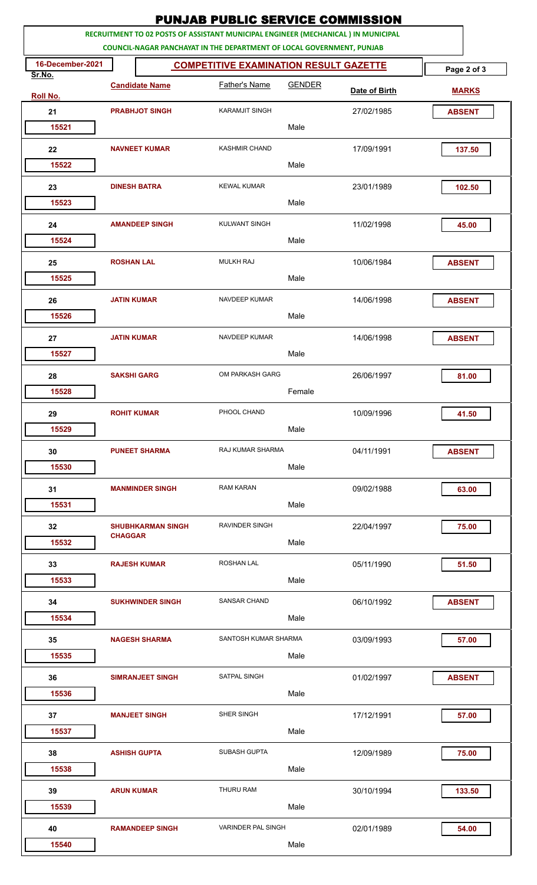| <b>PUNJAB PUBLIC SERVICE COMMISSION</b>                                                                                                                           |                    |                          |                                               |               |               |               |
|-------------------------------------------------------------------------------------------------------------------------------------------------------------------|--------------------|--------------------------|-----------------------------------------------|---------------|---------------|---------------|
| RECRUITMENT TO 02 POSTS OF ASSISTANT MUNICIPAL ENGINEER (MECHANICAL) IN MUNICIPAL<br><b>COUNCIL-NAGAR PANCHAYAT IN THE DEPARTMENT OF LOCAL GOVERNMENT, PUNJAB</b> |                    |                          |                                               |               |               |               |
| 16-December-2021                                                                                                                                                  |                    |                          | <b>COMPETITIVE EXAMINATION RESULT GAZETTE</b> |               |               | Page 2 of 3   |
| Sr.No.<br><b>Roll No.</b>                                                                                                                                         |                    | <b>Candidate Name</b>    | <b>Father's Name</b>                          | <b>GENDER</b> | Date of Birth | <b>MARKS</b>  |
| 21                                                                                                                                                                |                    | <b>PRABHJOT SINGH</b>    | <b>KARAMJIT SINGH</b>                         |               | 27/02/1985    | <b>ABSENT</b> |
| 15521                                                                                                                                                             |                    |                          |                                               | Male          |               |               |
| 22                                                                                                                                                                |                    | <b>NAVNEET KUMAR</b>     | <b>KASHMIR CHAND</b>                          |               | 17/09/1991    | 137.50        |
| 15522                                                                                                                                                             |                    |                          |                                               | Male          |               |               |
| 23                                                                                                                                                                |                    | <b>DINESH BATRA</b>      | <b>KEWAL KUMAR</b>                            |               | 23/01/1989    | 102.50        |
| 15523                                                                                                                                                             |                    |                          |                                               | Male          |               |               |
| 24                                                                                                                                                                |                    | <b>AMANDEEP SINGH</b>    | <b>KULWANT SINGH</b>                          |               | 11/02/1998    | 45.00         |
| 15524                                                                                                                                                             |                    |                          |                                               | Male          |               |               |
| 25                                                                                                                                                                | <b>ROSHAN LAL</b>  |                          | <b>MULKH RAJ</b>                              |               | 10/06/1984    | <b>ABSENT</b> |
| 15525                                                                                                                                                             |                    |                          |                                               | Male          |               |               |
| 26                                                                                                                                                                | <b>JATIN KUMAR</b> |                          | NAVDEEP KUMAR                                 |               | 14/06/1998    | <b>ABSENT</b> |
| 15526                                                                                                                                                             |                    |                          |                                               | Male          |               |               |
| 27                                                                                                                                                                | <b>JATIN KUMAR</b> |                          | NAVDEEP KUMAR                                 |               | 14/06/1998    | <b>ABSENT</b> |
| 15527                                                                                                                                                             |                    |                          |                                               | Male          |               |               |
| 28                                                                                                                                                                |                    | <b>SAKSHI GARG</b>       | OM PARKASH GARG                               |               | 26/06/1997    | 81.00         |
| 15528                                                                                                                                                             |                    |                          |                                               | Female        |               |               |
| 29                                                                                                                                                                |                    | <b>ROHIT KUMAR</b>       | PHOOL CHAND                                   |               | 10/09/1996    | 41.50         |
| 15529                                                                                                                                                             |                    |                          |                                               | Male          |               |               |
| 30                                                                                                                                                                |                    | <b>PUNEET SHARMA</b>     | RAJ KUMAR SHARMA                              |               | 04/11/1991    | <b>ABSENT</b> |
| 15530                                                                                                                                                             |                    |                          |                                               | Male          |               |               |
| 31                                                                                                                                                                |                    | <b>MANMINDER SINGH</b>   | <b>RAM KARAN</b>                              |               | 09/02/1988    | 63.00         |
| 15531                                                                                                                                                             |                    |                          |                                               | Male          |               |               |
| 32                                                                                                                                                                | <b>CHAGGAR</b>     | <b>SHUBHKARMAN SINGH</b> | <b>RAVINDER SINGH</b>                         |               | 22/04/1997    | 75.00         |
| 15532                                                                                                                                                             |                    |                          |                                               | Male          |               |               |
| 33                                                                                                                                                                |                    | <b>RAJESH KUMAR</b>      | <b>ROSHAN LAL</b>                             |               | 05/11/1990    | 51.50         |
| 15533                                                                                                                                                             |                    |                          |                                               | Male          |               |               |
| 34                                                                                                                                                                |                    | <b>SUKHWINDER SINGH</b>  | <b>SANSAR CHAND</b>                           |               | 06/10/1992    | <b>ABSENT</b> |
| 15534                                                                                                                                                             |                    |                          |                                               | Male          |               |               |
| 35                                                                                                                                                                |                    | <b>NAGESH SHARMA</b>     | SANTOSH KUMAR SHARMA                          |               | 03/09/1993    | 57.00         |
| 15535                                                                                                                                                             |                    |                          |                                               | Male          |               |               |
| 36                                                                                                                                                                |                    | <b>SIMRANJEET SINGH</b>  | SATPAL SINGH                                  |               | 01/02/1997    | <b>ABSENT</b> |
| 15536                                                                                                                                                             |                    |                          |                                               | Male          |               |               |
| 37                                                                                                                                                                |                    | <b>MANJEET SINGH</b>     | SHER SINGH                                    |               | 17/12/1991    | 57.00         |
| 15537                                                                                                                                                             |                    |                          |                                               | Male          |               |               |
| 38                                                                                                                                                                |                    | <b>ASHISH GUPTA</b>      | <b>SUBASH GUPTA</b>                           |               | 12/09/1989    | 75.00         |
| 15538                                                                                                                                                             |                    |                          |                                               | Male          |               |               |
| 39                                                                                                                                                                | <b>ARUN KUMAR</b>  |                          | THURU RAM                                     |               | 30/10/1994    | 133.50        |
| 15539                                                                                                                                                             |                    |                          |                                               | Male          |               |               |
| 40                                                                                                                                                                |                    | <b>RAMANDEEP SINGH</b>   | VARINDER PAL SINGH                            |               | 02/01/1989    | 54.00         |
| 15540                                                                                                                                                             |                    |                          |                                               | Male          |               |               |